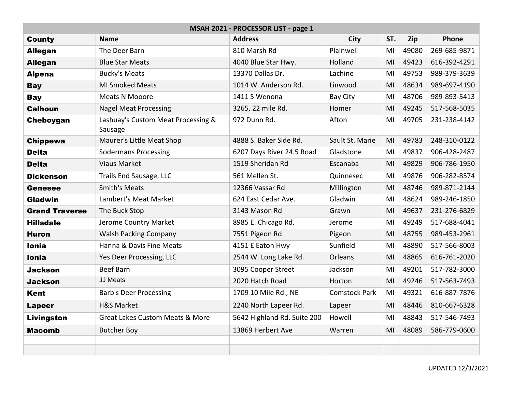| MSAH 2021 - PROCESSOR LIST - page 1 |                                               |                             |                      |     |       |              |  |  |
|-------------------------------------|-----------------------------------------------|-----------------------------|----------------------|-----|-------|--------------|--|--|
| <b>County</b>                       | <b>Name</b>                                   | <b>Address</b>              | <b>City</b>          | ST. | Zip   | Phone        |  |  |
| <b>Allegan</b>                      | The Deer Barn                                 | 810 Marsh Rd                | Plainwell            | MI  | 49080 | 269-685-9871 |  |  |
| <b>Allegan</b>                      | <b>Blue Star Meats</b>                        | 4040 Blue Star Hwy.         | Holland              | MI  | 49423 | 616-392-4291 |  |  |
| <b>Alpena</b>                       | <b>Bucky's Meats</b>                          | 13370 Dallas Dr.            | Lachine              | MI  | 49753 | 989-379-3639 |  |  |
| <b>Bay</b>                          | <b>MI Smoked Meats</b>                        | 1014 W. Anderson Rd.        | Linwood              | MI  | 48634 | 989-697-4190 |  |  |
| <b>Bay</b>                          | Meats N Mooore                                | 1411 S Wenona               | <b>Bay City</b>      | MI  | 48706 | 989-893-5413 |  |  |
| <b>Calhoun</b>                      | <b>Nagel Meat Processing</b>                  | 3265, 22 mile Rd.           | Homer                | MI  | 49245 | 517-568-5035 |  |  |
| Cheboygan                           | Lashuay's Custom Meat Processing &<br>Sausage | 972 Dunn Rd.                | Afton                | MI  | 49705 | 231-238-4142 |  |  |
| <b>Chippewa</b>                     | Maurer's Little Meat Shop                     | 4888 S. Baker Side Rd.      | Sault St. Marie      | MI  | 49783 | 248-310-0122 |  |  |
| <b>Delta</b>                        | <b>Sodermans Processing</b>                   | 6207 Days River 24.5 Road   | Gladstone            | MI  | 49837 | 906-428-2487 |  |  |
| <b>Delta</b>                        | <b>Viaus Market</b>                           | 1519 Sheridan Rd            | Escanaba             | MI  | 49829 | 906-786-1950 |  |  |
| <b>Dickenson</b>                    | Trails End Sausage, LLC                       | 561 Mellen St.              | Quinnesec            | MI  | 49876 | 906-282-8574 |  |  |
| <b>Genesee</b>                      | <b>Smith's Meats</b>                          | 12366 Vassar Rd             | Millington           | MI  | 48746 | 989-871-2144 |  |  |
| Gladwin                             | Lambert's Meat Market                         | 624 East Cedar Ave.         | Gladwin              | MI  | 48624 | 989-246-1850 |  |  |
| <b>Grand Traverse</b>               | The Buck Stop                                 | 3143 Mason Rd               | Grawn                | MI  | 49637 | 231-276-6829 |  |  |
| <b>Hillsdale</b>                    | Jerome Country Market                         | 8985 E. Chicago Rd.         | Jerome               | MI  | 49249 | 517-688-4041 |  |  |
| <b>Huron</b>                        | <b>Walsh Packing Company</b>                  | 7551 Pigeon Rd.             | Pigeon               | MI  | 48755 | 989-453-2961 |  |  |
| <b>Ionia</b>                        | Hanna & Davis Fine Meats                      | 4151 E Eaton Hwy            | Sunfield             | MI  | 48890 | 517-566-8003 |  |  |
| <b>Ionia</b>                        | Yes Deer Processing, LLC                      | 2544 W. Long Lake Rd.       | Orleans              | MI  | 48865 | 616-761-2020 |  |  |
| <b>Jackson</b>                      | <b>Beef Barn</b>                              | 3095 Cooper Street          | Jackson              | MI  | 49201 | 517-782-3000 |  |  |
| <b>Jackson</b>                      | <b>JJ Meats</b>                               | 2020 Hatch Road             | Horton               | MI  | 49246 | 517-563-7493 |  |  |
| <b>Kent</b>                         | <b>Barb's Deer Processing</b>                 | 1709 10 Mile Rd., NE        | <b>Comstock Park</b> | MI  | 49321 | 616-887-7876 |  |  |
| <b>Lapeer</b>                       | <b>H&amp;S Market</b>                         | 2240 North Lapeer Rd.       | Lapeer               | MI  | 48446 | 810-667-6328 |  |  |
| Livingston                          | <b>Great Lakes Custom Meats &amp; More</b>    | 5642 Highland Rd. Suite 200 | Howell               | MI  | 48843 | 517-546-7493 |  |  |
| <b>Macomb</b>                       | <b>Butcher Boy</b>                            | 13869 Herbert Ave           | Warren               | MI  | 48089 | 586-779-0600 |  |  |
|                                     |                                               |                             |                      |     |       |              |  |  |
|                                     |                                               |                             |                      |     |       |              |  |  |